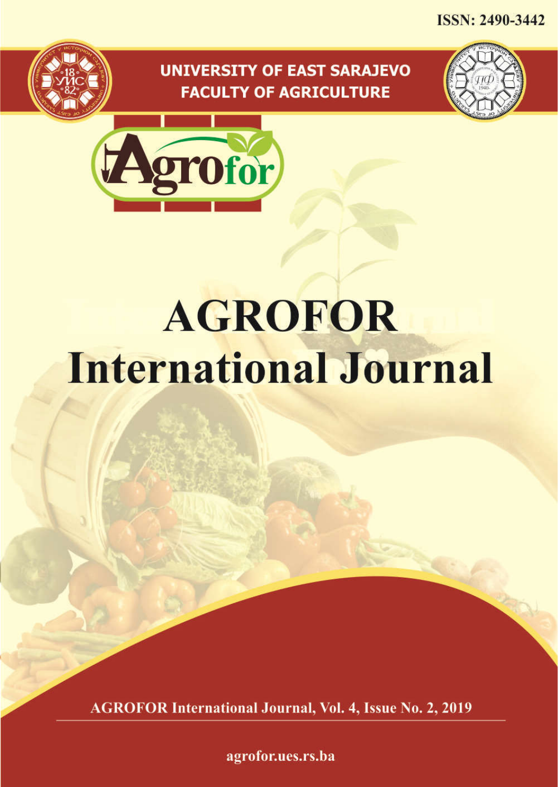**ISSN: 2490-3442** 

## **UNIVERSITY OF EAST SARAJEVO FACULTY OF AGRICULTURE**





# **AGROFOR International Journal**

**AGROFOR International Journal, Vol. 4, Issue No. 2, 2019** 

agrofor.ues.rs.ba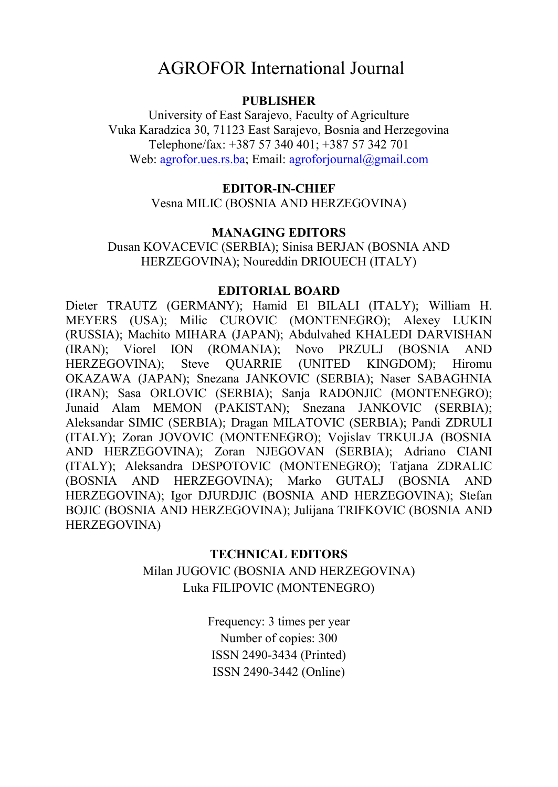## AGROFOR International Journal

#### **PUBLISHER**

University of East Sarajevo, Faculty of Agriculture Vuka Karadzica 30, 71123 East Sarajevo, Bosnia and Herzegovina Telephone/fax: +387 57 340 401; +387 57 342 701 Web: agrofor.ues.rs.ba; Email: agroforjournal@gmail.com

#### **EDITOR-IN-CHIEF**

Vesna MILIC (BOSNIA AND HERZEGOVINA)

#### **MANAGING EDITORS**

Dusan KOVACEVIC (SERBIA); Sinisa BERJAN (BOSNIA AND HERZEGOVINA); Noureddin DRIOUECH (ITALY)

#### **EDITORIAL BOARD**

Dieter TRAUTZ (GERMANY); Hamid El BILALI (ITALY); William H. MEYERS (USA); Milic CUROVIC (MONTENEGRO); Alexey LUKIN (RUSSIA); Machito MIHARA (JAPAN); Abdulvahed KHALEDI DARVISHAN (IRAN); Viorel ION (ROMANIA); Novo PRZULJ (BOSNIA AND HERZEGOVINA); Steve QUARRIE (UNITED KINGDOM); Hiromu OKAZAWA (JAPAN); Snezana JANKOVIC (SERBIA); Naser SABAGHNIA (IRAN); Sasa ORLOVIC (SERBIA); Sanja RADONJIC (MONTENEGRO); Junaid Alam MEMON (PAKISTAN); Snezana JANKOVIC (SERBIA); Aleksandar SIMIC (SERBIA); Dragan MILATOVIC (SERBIA); Pandi ZDRULI (ITALY); Zoran JOVOVIC (MONTENEGRO); Vojislav TRKULJA (BOSNIA AND HERZEGOVINA); Zoran NJEGOVAN (SERBIA); Adriano CIANI (ITALY); Aleksandra DESPOTOVIC (MONTENEGRO); Tatjana ZDRALIC (BOSNIA AND HERZEGOVINA); Marko GUTALJ (BOSNIA AND HERZEGOVINA); Igor DJURDJIC (BOSNIA AND HERZEGOVINA); Stefan BOJIC (BOSNIA AND HERZEGOVINA); Julijana TRIFKOVIC (BOSNIA AND HERZEGOVINA)

#### **TECHNICAL EDITORS**

Milan JUGOVIC (BOSNIA AND HERZEGOVINA) Luka FILIPOVIC (MONTENEGRO)

> Frequency: 3 times per year Number of copies: 300 ISSN 2490-3434 (Printed) ISSN 2490-3442 (Online)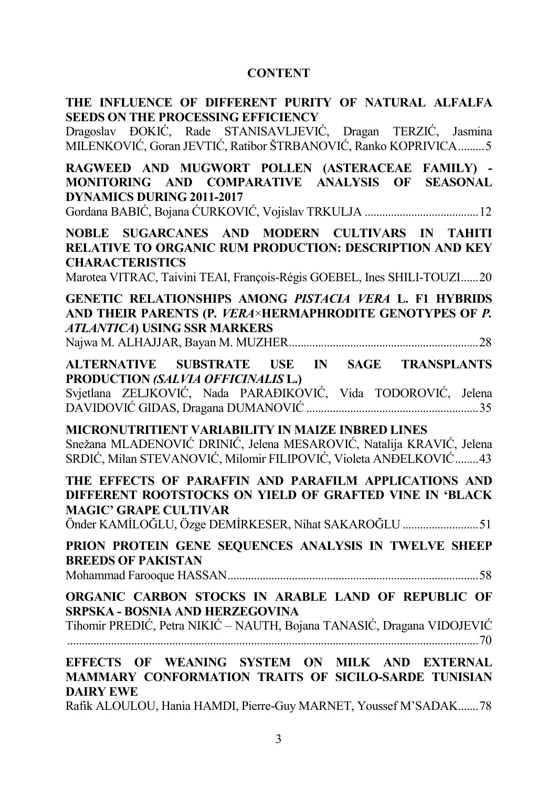### **CONTENT**

| THE INFLUENCE OF DIFFERENT PURITY OF NATURAL ALFALFA<br><b>SEEDS ON THE PROCESSING EFFICIENCY</b><br>Dragoslav ĐOKIĆ, Rade STANISAVLJEVIĆ, Dragan TERZIĆ, Jasmina                                                      |
|------------------------------------------------------------------------------------------------------------------------------------------------------------------------------------------------------------------------|
| MILENKOVIĆ, Goran JEVTIĆ, Ratibor ŠTRBANOVIĆ, Ranko KOPRIVICA  5<br>RAGWEED AND MUGWORT POLLEN (ASTERACEAE FAMILY) -<br>MONITORING AND COMPARATIVE ANALYSIS OF SEASONAL                                                |
| <b>DYNAMICS DURING 2011-2017</b>                                                                                                                                                                                       |
| NOBLE SUGARCANES AND MODERN CULTIVARS IN TAHITI<br><b>RELATIVE TO ORGANIC RUM PRODUCTION: DESCRIPTION AND KEY</b><br><b>CHARACTERISTICS</b><br>Marotea VITRAC, Taivini TEAI, François-Régis GOEBEL, Ines SHILI-TOUZI20 |
| GENETIC RELATIONSHIPS AMONG PISTACIA VERA L. F1 HYBRIDS<br>AND THEIR PARENTS (P. VERA×HERMAPHRODITE GENOTYPES OF P.<br><b>ATLANTICA) USING SSR MARKERS</b>                                                             |
| ALTERNATIVE SUBSTRATE USE IN SAGE TRANSPLANTS<br>PRODUCTION (SALVIA OFFICINALIS L.)<br>Svjetlana ZELJKOVIĆ, Nada PARAĐIKOVIĆ, Vida TODOROVIĆ, Jelena                                                                   |
| MICRONUTRITIENT VARIABILITY IN MAIZE INBRED LINES<br>Snežana MLADENOVIĆ DRINIĆ, Jelena MESAROVIĆ, Natalija KRAVIĆ, Jelena<br>SRDIĆ, Milan STEVANOVIĆ, Milomir FILIPOVIĆ, Violeta ANĐELKOVIĆ 43                         |
| THE EFFECTS OF PARAFFIN AND PARAFILM APPLICATIONS AND<br>DIFFERENT ROOTSTOCKS ON YIELD OF GRAFTED VINE IN 'BLACK<br><b>MAGIC' GRAPE CULTIVAR</b><br>Önder KAMİLOĞLU, Özge DEMİRKESER, Nihat SAKAROĞLU 51               |
| PRION PROTEIN GENE SEQUENCES ANALYSIS IN TWELVE SHEEP<br><b>BREEDS OF PAKISTAN</b>                                                                                                                                     |
| ORGANIC CARBON STOCKS IN ARABLE LAND OF REPUBLIC OF<br>SRPSKA - BOSNIA AND HERZEGOVINA<br>Tihomir PREDIĆ, Petra NIKIĆ - NAUTH, Bojana TANASIĆ, Dragana VIDOJEVIĆ                                                       |
| EFFECTS OF WEANING SYSTEM ON MILK AND EXTERNAL<br>MAMMARY CONFORMATION TRAITS OF SICILO-SARDE TUNISIAN<br><b>DAIRY EWE</b><br>$Befik$ ALOULOU Hong HAMDL Biography MARNET, $V_{\text{OMSG}}(M)SADAY$ 79                |

Rafik ALOULOU, Hania HAMDI, Pierre-Guy MARNET, Youssef M'SADAK.......78